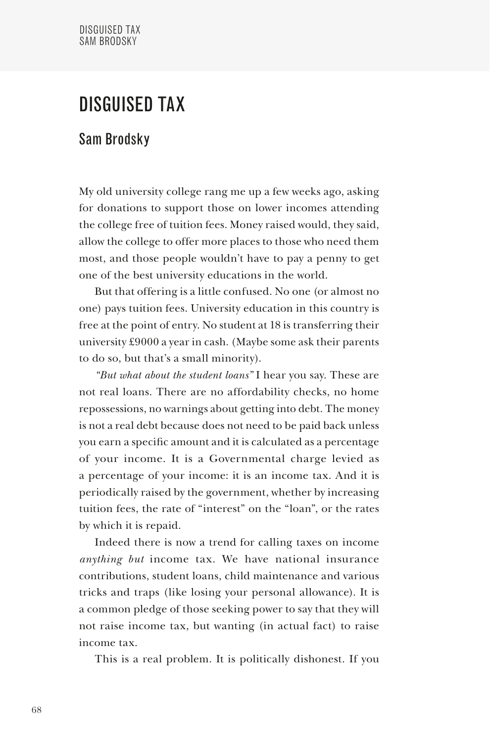## DISGUISED TAX

## Sam Brodsky

My old university college rang me up a few weeks ago, asking for donations to support those on lower incomes attending the college free of tuition fees. Money raised would, they said, allow the college to offer more places to those who need them most, and those people wouldn't have to pay a penny to get one of the best university educations in the world.

But that offering is a little confused. No one (or almost no one) pays tuition fees. University education in this country is free at the point of entry. No student at 18 is transferring their university £9000 a year in cash. (Maybe some ask their parents to do so, but that's a small minority).

*"But what about the student loans"* I hear you say. These are not real loans. There are no affordability checks, no home repossessions, no warnings about getting into debt. The money is not a real debt because does not need to be paid back unless you earn a specific amount and it is calculated as a percentage of your income. It is a Governmental charge levied as a percentage of your income: it is an income tax. And it is periodically raised by the government, whether by increasing tuition fees, the rate of "interest" on the "loan", or the rates by which it is repaid.

Indeed there is now a trend for calling taxes on income *anything but* income tax. We have national insurance contributions, student loans, child maintenance and various tricks and traps (like losing your personal allowance). It is a common pledge of those seeking power to say that they will not raise income tax, but wanting (in actual fact) to raise income tax.

This is a real problem. It is politically dishonest. If you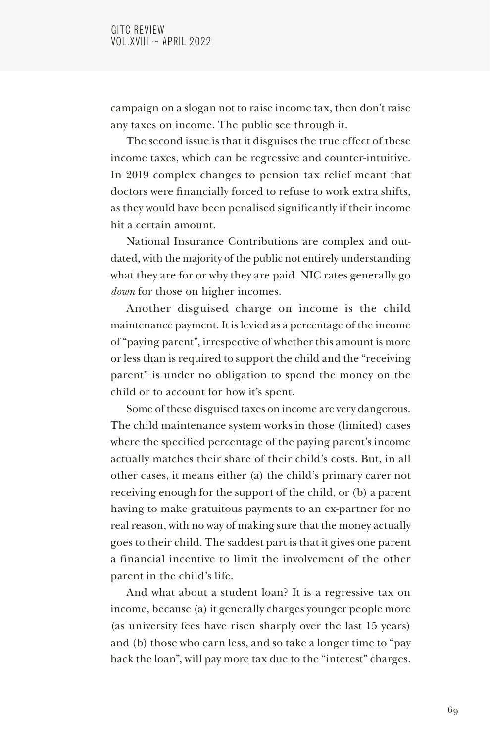campaign on a slogan not to raise income tax, then don't raise any taxes on income. The public see through it.

The second issue is that it disguises the true effect of these income taxes, which can be regressive and counter-intuitive. In 2019 complex changes to pension tax relief meant that doctors were financially forced to refuse to work extra shifts, as they would have been penalised significantly if their income hit a certain amount.

National Insurance Contributions are complex and outdated, with the majority of the public not entirely understanding what they are for or why they are paid. NIC rates generally go *down* for those on higher incomes.

Another disguised charge on income is the child maintenance payment. It is levied as a percentage of the income of "paying parent", irrespective of whether this amount is more or less than is required to support the child and the "receiving parent" is under no obligation to spend the money on the child or to account for how it's spent.

Some of these disguised taxes on income are very dangerous. The child maintenance system works in those (limited) cases where the specified percentage of the paying parent's income actually matches their share of their child's costs. But, in all other cases, it means either (a) the child's primary carer not receiving enough for the support of the child, or (b) a parent having to make gratuitous payments to an ex-partner for no real reason, with no way of making sure that the money actually goes to their child. The saddest part is that it gives one parent a financial incentive to limit the involvement of the other parent in the child's life.

And what about a student loan? It is a regressive tax on income, because (a) it generally charges younger people more (as university fees have risen sharply over the last 15 years) and (b) those who earn less, and so take a longer time to "pay back the loan", will pay more tax due to the "interest" charges.